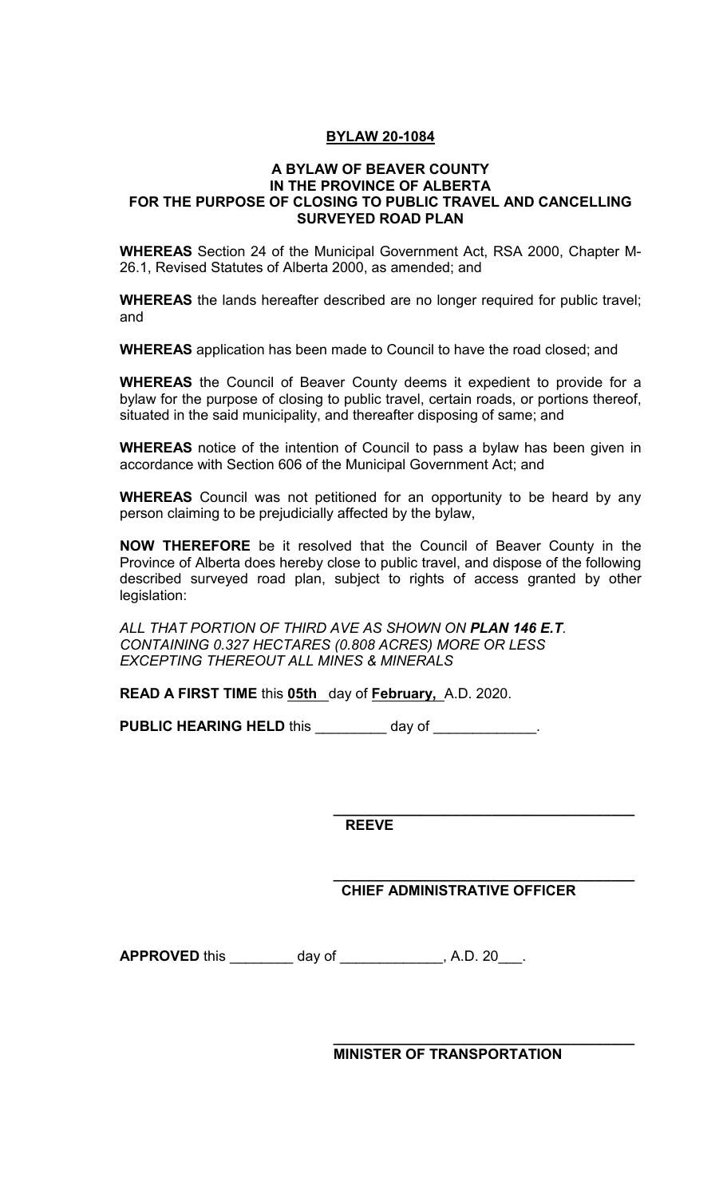## **BYLAW 20-1084**

## **A BYLAW OF BEAVER COUNTY IN THE PROVINCE OF ALBERTA FOR THE PURPOSE OF CLOSING TO PUBLIC TRAVEL AND CANCELLING SURVEYED ROAD PLAN**

**WHEREAS** Section 24 of the Municipal Government Act, RSA 2000, Chapter M-26.1, Revised Statutes of Alberta 2000, as amended; and

**WHEREAS** the lands hereafter described are no longer required for public travel; and

**WHEREAS** application has been made to Council to have the road closed; and

**WHEREAS** the Council of Beaver County deems it expedient to provide for a bylaw for the purpose of closing to public travel, certain roads, or portions thereof, situated in the said municipality, and thereafter disposing of same; and

**WHEREAS** notice of the intention of Council to pass a bylaw has been given in accordance with Section 606 of the Municipal Government Act; and

**WHEREAS** Council was not petitioned for an opportunity to be heard by any person claiming to be prejudicially affected by the bylaw,

**NOW THEREFORE** be it resolved that the Council of Beaver County in the Province of Alberta does hereby close to public travel, and dispose of the following described surveyed road plan, subject to rights of access granted by other legislation:

*ALL THAT PORTION OF THIRD AVE AS SHOWN ON PLAN 146 E.T. CONTAINING 0.327 HECTARES (0.808 ACRES) MORE OR LESS EXCEPTING THEREOUT ALL MINES & MINERALS*

**READ A FIRST TIME** this **05th** day of **February,** A.D. 2020.

PUBLIC HEARING HELD this \_\_\_\_\_\_\_ day of \_\_\_\_\_\_\_\_\_\_\_\_.

**\_\_\_\_\_\_\_\_\_\_\_\_\_\_\_\_\_\_\_\_\_\_\_\_\_\_\_\_\_\_\_\_\_\_\_\_\_\_ REEVE** 

**\_\_\_\_\_\_\_\_\_\_\_\_\_\_\_\_\_\_\_\_\_\_\_\_\_\_\_\_\_\_\_\_\_\_\_\_\_\_ CHIEF ADMINISTRATIVE OFFICER** 

**APPROVED** this day of the set of the A.D. 20 and A.D. 20

**\_\_\_\_\_\_\_\_\_\_\_\_\_\_\_\_\_\_\_\_\_\_\_\_\_\_\_\_\_\_\_\_\_\_\_\_\_\_ MINISTER OF TRANSPORTATION**